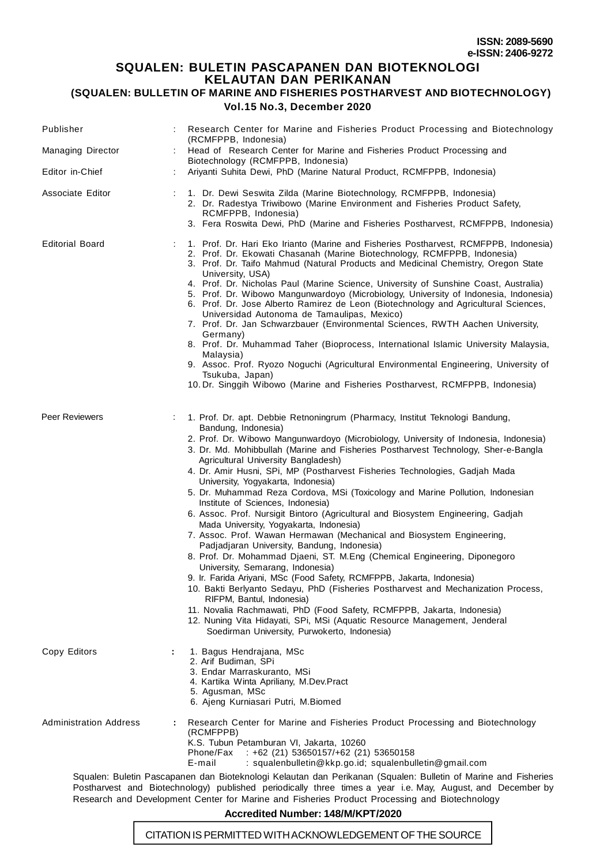## **SQUALEN: BULETIN PASCAPANEN DAN BIOTEKNOLOGI**

**KELAUTAN DAN PERIKANAN (SQUALEN: BULLETIN OF MARINE AND FISHERIES POSTHARVEST AND BIOTECHNOLOGY)**

#### **Vol.15 No.3, December 2020**

| Publisher                     |                                                                                                                                                                                                                                                                                                                                                                                                                                                                                                                                                                                                                                                                                                                                                                                                                                                                                                                                                                                                                                                                                                                                                                                                                                                                                                                                                |
|-------------------------------|------------------------------------------------------------------------------------------------------------------------------------------------------------------------------------------------------------------------------------------------------------------------------------------------------------------------------------------------------------------------------------------------------------------------------------------------------------------------------------------------------------------------------------------------------------------------------------------------------------------------------------------------------------------------------------------------------------------------------------------------------------------------------------------------------------------------------------------------------------------------------------------------------------------------------------------------------------------------------------------------------------------------------------------------------------------------------------------------------------------------------------------------------------------------------------------------------------------------------------------------------------------------------------------------------------------------------------------------|
|                               | Research Center for Marine and Fisheries Product Processing and Biotechnology<br>(RCMFPPB, Indonesia)                                                                                                                                                                                                                                                                                                                                                                                                                                                                                                                                                                                                                                                                                                                                                                                                                                                                                                                                                                                                                                                                                                                                                                                                                                          |
| <b>Managing Director</b>      | Head of Research Center for Marine and Fisheries Product Processing and<br>Biotechnology (RCMFPPB, Indonesia)                                                                                                                                                                                                                                                                                                                                                                                                                                                                                                                                                                                                                                                                                                                                                                                                                                                                                                                                                                                                                                                                                                                                                                                                                                  |
| Editor in-Chief               | Ariyanti Suhita Dewi, PhD (Marine Natural Product, RCMFPPB, Indonesia)                                                                                                                                                                                                                                                                                                                                                                                                                                                                                                                                                                                                                                                                                                                                                                                                                                                                                                                                                                                                                                                                                                                                                                                                                                                                         |
| Associate Editor              | 1. Dr. Dewi Seswita Zilda (Marine Biotechnology, RCMFPPB, Indonesia)<br>2. Dr. Radestya Triwibowo (Marine Environment and Fisheries Product Safety,<br>RCMFPPB, Indonesia)<br>3. Fera Roswita Dewi, PhD (Marine and Fisheries Postharvest, RCMFPPB, Indonesia)                                                                                                                                                                                                                                                                                                                                                                                                                                                                                                                                                                                                                                                                                                                                                                                                                                                                                                                                                                                                                                                                                 |
| <b>Editorial Board</b>        | 1. Prof. Dr. Hari Eko Irianto (Marine and Fisheries Postharvest, RCMFPPB, Indonesia)<br>2. Prof. Dr. Ekowati Chasanah (Marine Biotechnology, RCMFPPB, Indonesia)<br>3. Prof. Dr. Taifo Mahmud (Natural Products and Medicinal Chemistry, Oregon State<br>University, USA)<br>4. Prof. Dr. Nicholas Paul (Marine Science, University of Sunshine Coast, Australia)<br>5. Prof. Dr. Wibowo Mangunwardoyo (Microbiology, University of Indonesia, Indonesia)<br>6. Prof. Dr. Jose Alberto Ramirez de Leon (Biotechnology and Agricultural Sciences,<br>Universidad Autonoma de Tamaulipas, Mexico)<br>7. Prof. Dr. Jan Schwarzbauer (Environmental Sciences, RWTH Aachen University,<br>Germany)<br>8. Prof. Dr. Muhammad Taher (Bioprocess, International Islamic University Malaysia,<br>Malaysia)<br>9. Assoc. Prof. Ryozo Noguchi (Agricultural Environmental Engineering, University of<br>Tsukuba, Japan)<br>10. Dr. Singgih Wibowo (Marine and Fisheries Postharvest, RCMFPPB, Indonesia)                                                                                                                                                                                                                                                                                                                                                  |
| Peer Reviewers                | 1. Prof. Dr. apt. Debbie Retnoningrum (Pharmacy, Institut Teknologi Bandung,<br>Bandung, Indonesia)<br>2. Prof. Dr. Wibowo Mangunwardoyo (Microbiology, University of Indonesia, Indonesia)<br>3. Dr. Md. Mohibbullah (Marine and Fisheries Postharvest Technology, Sher-e-Bangla<br>Agricultural University Bangladesh)<br>4. Dr. Amir Husni, SPi, MP (Postharvest Fisheries Technologies, Gadjah Mada<br>University, Yogyakarta, Indonesia)<br>5. Dr. Muhammad Reza Cordova, MSi (Toxicology and Marine Pollution, Indonesian<br>Institute of Sciences, Indonesia)<br>6. Assoc. Prof. Nursigit Bintoro (Agricultural and Biosystem Engineering, Gadjah<br>Mada University, Yogyakarta, Indonesia)<br>7. Assoc. Prof. Wawan Hermawan (Mechanical and Biosystem Engineering,<br>Padjadjaran University, Bandung, Indonesia)<br>8. Prof. Dr. Mohammad Djaeni, ST. M.Eng (Chemical Engineering, Diponegoro<br>University, Semarang, Indonesia)<br>9. Ir. Farida Ariyani, MSc (Food Safety, RCMFPPB, Jakarta, Indonesia)<br>10. Bakti Berlyanto Sedayu, PhD (Fisheries Postharvest and Mechanization Process,<br>RIFPM, Bantul, Indonesia)<br>11. Novalia Rachmawati, PhD (Food Safety, RCMFPPB, Jakarta, Indonesia)<br>12. Nuning Vita Hidayati, SPi, MSi (Aquatic Resource Management, Jenderal<br>Soedirman University, Purwokerto, Indonesia) |
| Copy Editors                  | 1. Bagus Hendrajana, MSc<br>÷<br>2. Arif Budiman, SPi<br>3. Endar Marraskuranto, MSi<br>4. Kartika Winta Apriliany, M.Dev.Pract<br>5. Agusman, MSc<br>6. Ajeng Kurniasari Putri, M.Biomed                                                                                                                                                                                                                                                                                                                                                                                                                                                                                                                                                                                                                                                                                                                                                                                                                                                                                                                                                                                                                                                                                                                                                      |
| <b>Administration Address</b> | Research Center for Marine and Fisheries Product Processing and Biotechnology<br>÷<br>(RCMFPPB)<br>K.S. Tubun Petamburan VI, Jakarta, 10260<br>Phone/Fax<br>$: +62$ (21) 53650157/+62 (21) 53650158<br>E-mail<br>: squalenbulletin@kkp.go.id; squalenbulletin@gmail.com                                                                                                                                                                                                                                                                                                                                                                                                                                                                                                                                                                                                                                                                                                                                                                                                                                                                                                                                                                                                                                                                        |
|                               | Squalen: Buletin Pascapanen dan Bioteknologi Kelautan dan Perikanan (Squalen: Bulletin of Marine and Fisheries                                                                                                                                                                                                                                                                                                                                                                                                                                                                                                                                                                                                                                                                                                                                                                                                                                                                                                                                                                                                                                                                                                                                                                                                                                 |

Postharvest and Biotechnology) published periodically three times a year i.e. May, August, and December by Research and Development Center for Marine and Fisheries Product Processing and Biotechnology

### **Accredited Number: 148/M/KPT/2020**

CITATION IS PERMITTED WITH ACKNOWLEDGEMENT OF THE SOURCE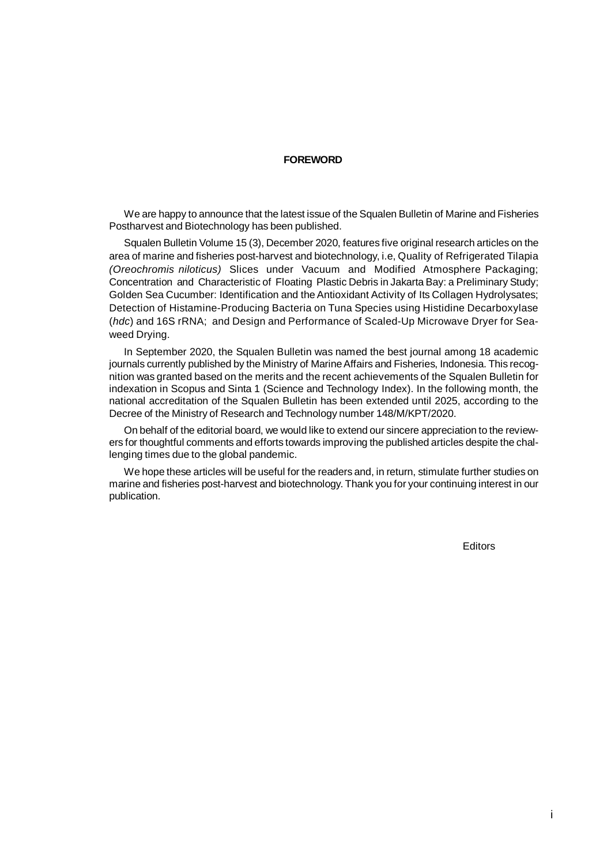#### **FOREWORD**

We are happy to announce that the latest issue of the Squalen Bulletin of Marine and Fisheries Postharvest and Biotechnology has been published.

Squalen Bulletin Volume 15 (3), December 2020, features five original research articles on the area of marine and fisheries post-harvest and biotechnology, i.e, Quality of Refrigerated Tilapia *(Oreochromis niloticus)* Slices under Vacuum and Modified Atmosphere Packaging; Concentration and Characteristic of Floating Plastic Debris in Jakarta Bay: a Preliminary Study; Golden Sea Cucumber: Identification and the Antioxidant Activity of Its Collagen Hydrolysates; Detection of Histamine-Producing Bacteria on Tuna Species using Histidine Decarboxylase (*hdc*) and 16S rRNA; and Design and Performance of Scaled-Up Microwave Dryer for Seaweed Drying.

In September 2020, the Squalen Bulletin was named the best journal among 18 academic journals currently published by the Ministry of Marine Affairs and Fisheries, Indonesia. This recognition was granted based on the merits and the recent achievements of the Squalen Bulletin for indexation in Scopus and Sinta 1 (Science and Technology Index). In the following month, the national accreditation of the Squalen Bulletin has been extended until 2025, according to the Decree of the Ministry of Research and Technology number 148/M/KPT/2020.

On behalf of the editorial board, we would like to extend our sincere appreciation to the reviewers for thoughtful comments and efforts towards improving the published articles despite the challenging times due to the global pandemic.

We hope these articles will be useful for the readers and, in return, stimulate further studies on marine and fisheries post-harvest and biotechnology. Thank you for your continuing interest in our publication.

**Editors**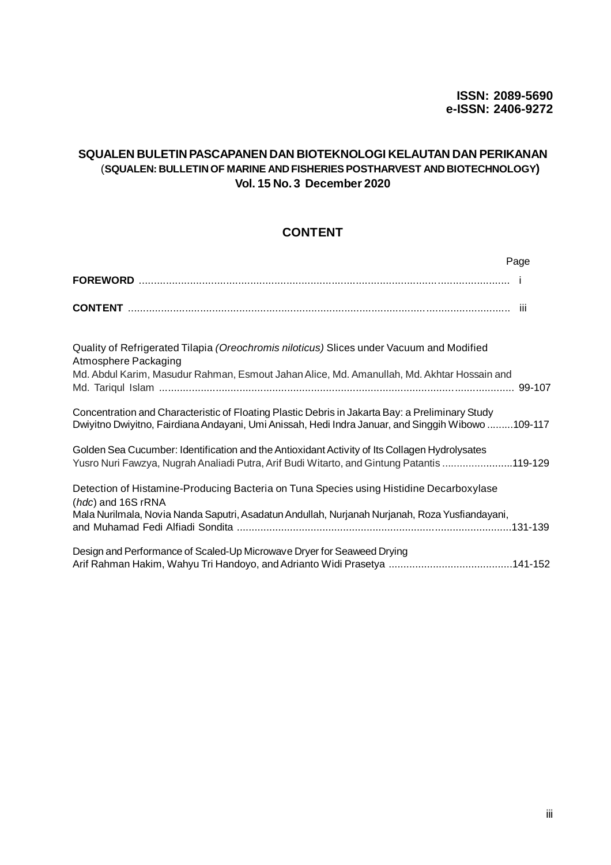### **SQUALEN BULETIN PASCAPANEN DAN BIOTEKNOLOGI KELAUTAN DAN PERIKANAN** (**SQUALEN: BULLETIN OF MARINE AND FISHERIES POSTHARVEST AND BIOTECHNOLOGY) Vol. 15 No. 3 December 2020**

# **CONTENT**

|                                                                                                                                                                                                                 | Page |
|-----------------------------------------------------------------------------------------------------------------------------------------------------------------------------------------------------------------|------|
|                                                                                                                                                                                                                 |      |
|                                                                                                                                                                                                                 |      |
| Quality of Refrigerated Tilapia (Oreochromis niloticus) Slices under Vacuum and Modified<br>Atmosphere Packaging<br>Md. Abdul Karim, Masudur Rahman, Esmout Jahan Alice, Md. Amanullah, Md. Akhtar Hossain and  |      |
| Concentration and Characteristic of Floating Plastic Debris in Jakarta Bay: a Preliminary Study<br>Dwiyitno Dwiyitno, Fairdiana Andayani, Umi Anissah, Hedi Indra Januar, and Singgih Wibowo 109-117            |      |
| Golden Sea Cucumber: Identification and the Antioxidant Activity of Its Collagen Hydrolysates<br>Yusro Nuri Fawzya, Nugrah Analiadi Putra, Arif Budi Witarto, and Gintung Patantis 119-129                      |      |
| Detection of Histamine-Producing Bacteria on Tuna Species using Histidine Decarboxylase<br>(hdc) and 16S rRNA<br>Mala Nurilmala, Novia Nanda Saputri, Asadatun Andullah, Nurjanah Nurjanah, Roza Yusfiandayani, |      |
| Design and Performance of Scaled-Up Microwave Dryer for Seaweed Drying                                                                                                                                          |      |